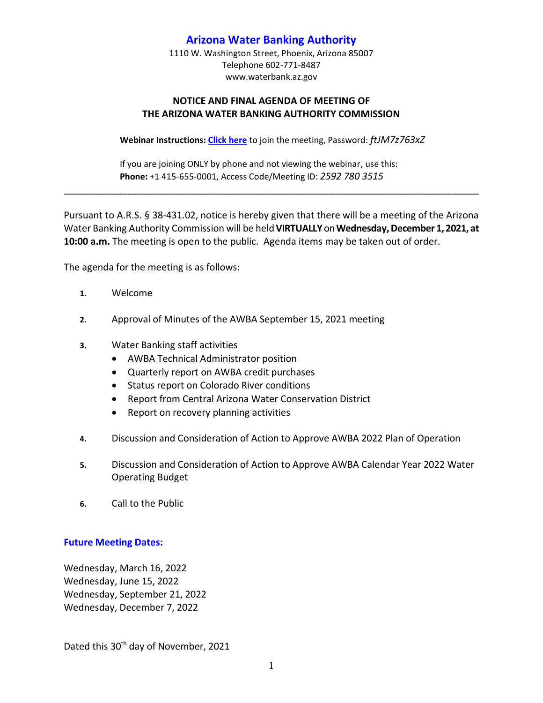## **Arizona Water Banking Authority**

1110 W. Washington Street, Phoenix, Arizona 85007 Telephone 602-771-8487 www.waterbank.az.gov

## **NOTICE AND FINAL AGENDA OF MEETING OF THE ARIZONA WATER BANKING AUTHORITY COMMISSION**

**Webinar Instructions: [Click here](https://azwater.webex.com/azwater/j.php?MTID=mfe2c89368d4219fe3af51254b135b3f1)** to join the meeting, Password: *ftJM7z763xZ*

If you are joining ONLY by phone and not viewing the webinar, use this: **Phone:** +1 415-655-0001, Access Code/Meeting ID: *2592 780 3515*

Pursuant to A.R.S. § 38-431.02, notice is hereby given that there will be a meeting of the Arizona Water Banking Authority Commission will be held **VIRTUALLY** on **Wednesday,December 1, 2021, at 10:00 a.m.** The meeting is open to the public. Agenda items may be taken out of order.

\_\_\_\_\_\_\_\_\_\_\_\_\_\_\_\_\_\_\_\_\_\_\_\_\_\_\_\_\_\_\_\_\_\_\_\_\_\_\_\_\_\_\_\_\_\_\_\_\_\_\_\_\_\_\_\_\_\_\_\_\_\_\_\_\_\_\_\_\_\_\_\_\_\_\_\_\_\_

The agenda for the meeting is as follows:

- **1.** Welcome
- **2.** Approval of Minutes of the AWBA September 15, 2021 meeting
- **3.** Water Banking staff activities
	- AWBA Technical Administrator position
	- Quarterly report on AWBA credit purchases
	- Status report on Colorado River conditions
	- Report from Central Arizona Water Conservation District
	- Report on recovery planning activities
- **4.** Discussion and Consideration of Action to Approve AWBA 2022 Plan of Operation
- **5.** Discussion and Consideration of Action to Approve AWBA Calendar Year 2022 Water Operating Budget
- **6.** Call to the Public

## **Future Meeting Dates:**

Wednesday, March 16, 2022 Wednesday, June 15, 2022 Wednesday, September 21, 2022 Wednesday, December 7, 2022

Dated this 30<sup>th</sup> day of November, 2021